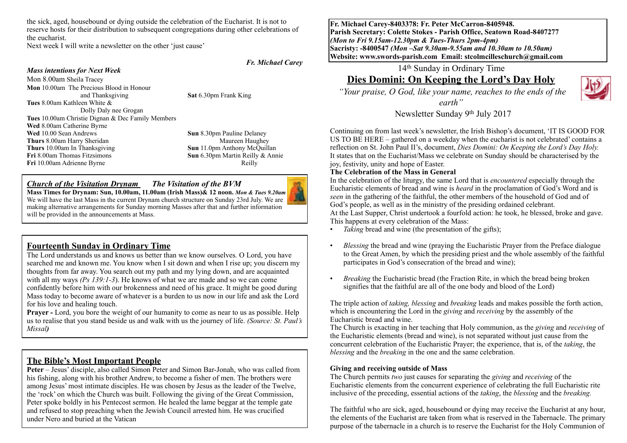the sick, aged, housebound or dying outside the celebration of the Eucharist. It is not to reserve hosts for their distribution to subsequent congregations during other celebrations of the eucharist.

Next week I will write a newsletter on the other 'just cause'

#### *Fr. Michael Carey*

#### *Mass intentions for Next Week*

Mon 8.00am Sheila Tracey **Mon** 10.00am The Precious Blood in Honour and Thanksgiving **Sat** 6.30pm Frank King **Tues** 8.00am Kathleen White & Dolly Daly nee Grogan **Tues** 10.00am Christie Dignan & Dec Family Members **Wed** 8.00am Catherine Byrne **Wed** 10.00 Sean Andrews **Sun 8.30pm Pauline Delaney Thurs** 8.00am Harry Sheridan Maureen Haughey **Thurs** 10.00am In Thanksgiving **Sun** 11.0pm Anthony McQuillan **Fri** 8.00am Thomas Fitzsimons **Sun** 6.30pm Martin Reilly & Annie **Fri** 10.00am Adrienne Byrne **Reilly** Reilly

#### *Church of the Visitation Drynam**The Visitation of the BVM*



**Mass Times for Drynam: Sun, 10.00am, 11.00am (Irish Mass)& 12 noon.** *Mon & Tues 9.20am*  We will have the last Mass in the current Drynam church structure on Sunday 23rd July. We are making alternative arrangements for Sunday morning Masses after that and further information will be provided in the announcements at Mass.

## **Fourteenth Sunday in Ordinary Time**

The Lord understands us and knows us better than we know ourselves*.* O Lord, you have searched me and known me. You know when I sit down and when I rise up; you discern my thoughts from far away. You search out my path and my lying down, and are acquainted with all my ways *(Ps 139:1-3*). He knows of what we are made and so we can come confidently before him with our brokenness and need of his grace. It might be good during Mass today to become aware of whatever is a burden to us now in our life and ask the Lord for his love and healing touch.

**Prayer -** Lord, you bore the weight of our humanity to come as near to us as possible. Help us to realise that you stand beside us and walk with us the journey of life. *(Source: St. Paul's Missal)*

## **The Bible's Most Important People**

**Peter** – Jesus' disciple, also called Simon Peter and Simon Bar-Jonah, who was called from his fishing, along with his brother Andrew, to become a fisher of men. The brothers were among Jesus' most intimate disciples. He was chosen by Jesus as the leader of the Twelve, the 'rock' on which the Church was built. Following the giving of the Great Commission, Peter spoke boldly in his Pentecost sermon. He healed the lame beggar at the temple gate and refused to stop preaching when the Jewish Council arrested him. He was crucified under Nero and buried at the Vatican

**Fr. Michael Carey-8403378: Fr. Peter McCarron-8405948. Parish Secretary: Colette Stokes - Parish Office, Seatown Road-8407277**  *(Mon to Fri 9.15am-12.30pm & Tues-Thurs 2pm-4pm)*  **Sacristy: -8400547** *(Mon –Sat 9.30am-9.55am and 10.30am to 10.50am)* **Website: [www.swords-parish.com Email:](http://www.swords-parish.com%20%20email) stcolmcilleschurch@gmail.com**

## 14th Sunday in Ordinary Time

# **Dies Domini: On Keeping the Lord's Day Holy**

 *"Your praise, O God, like your name, reaches to the ends of the* 

*earth"* 



Newsletter Sunday 9th July 2017

Continuing on from last week's newsletter, the Irish Bishop's document, 'IT IS GOOD FOR US TO BE HERE – gathered on a weekday when the eucharist is not celebrated' contains a reflection on St. John Paul II's, document, *Dies Domini: On Keeping the Lord's Day Holy.* It states that on the Eucharist/Mass we celebrate on Sunday should be characterised by the joy, festivity, unity and hope of Easter.

#### **The Celebration of the Mass in General**

In the celebration of the liturgy, the same Lord that is *encountered* especially through the Eucharistic elements of bread and wine is *heard* in the proclamation of God's Word and is *seen* in the gathering of the faithful, the other members of the household of God and of God's people, as well as in the ministry of the presiding ordained celebrant.

At the Last Supper, Christ undertook a fourfold action: he took, he blessed, broke and gave. This happens at every celebration of the Mass:

- *Taking* bread and wine (the presentation of the gifts);
- *Blessing* the bread and wine (praying the Eucharistic Prayer from the Preface dialogue to the Great Amen, by which the presiding priest and the whole assembly of the faithful participates in God's consecration of the bread and wine);
- *Breaking* the Eucharistic bread (the Fraction Rite, in which the bread being broken signifies that the faithful are all of the one body and blood of the Lord)

The triple action of *taking, blessing* and *breaking* leads and makes possible the forth action, which is encountering the Lord in the *giving* and *receiving* by the assembly of the Eucharistic bread and wine.

The Church is exacting in her teaching that Holy communion, as the *giving* and *receiving* of the Eucharistic elements (bread and wine), is not separated without just cause from the concurrent celebration of the Eucharistic Prayer; the experience, that is, of the *taking*, the *blessing* and the *breaking* in the one and the same celebration.

#### **Giving and receiving outside of Mass**

The Church permits *two* just causes for separating the *giving* and *receiving* of the Eucharistic elements from the concurrent experience of celebrating the full Eucharistic rite inclusive of the preceding, essential actions of the *taking*, the *blessing* and the *breaking.*

The faithful who are sick, aged, housebound or dying may receive the Eucharist at any hour, the elements of the Eucharist are taken from what is reserved in the Tabernacle. The primary purpose of the tabernacle in a church is to reserve the Eucharist for the Holy Communion of